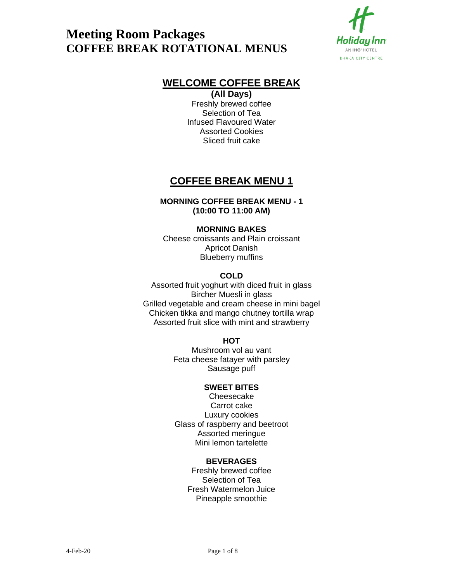

## **WELCOME COFFEE BREAK**

**(All Days)** Freshly brewed coffee Selection of Tea Infused Flavoured Water Assorted Cookies Sliced fruit cake

## **COFFEE BREAK MENU 1**

### **MORNING COFFEE BREAK MENU - 1 (10:00 TO 11:00 AM)**

### **MORNING BAKES**

Cheese croissants and Plain croissant Apricot Danish Blueberry muffins

## **COLD**

Assorted fruit yoghurt with diced fruit in glass Bircher Muesli in glass Grilled vegetable and cream cheese in mini bagel Chicken tikka and mango chutney tortilla wrap Assorted fruit slice with mint and strawberry

#### **HOT**

Mushroom vol au vant Feta cheese fatayer with parsley Sausage puff

### **SWEET BITES**

Cheesecake Carrot cake Luxury cookies Glass of raspberry and beetroot Assorted meringue Mini lemon tartelette

#### **BEVERAGES**

Freshly brewed coffee Selection of Tea Fresh Watermelon Juice Pineapple smoothie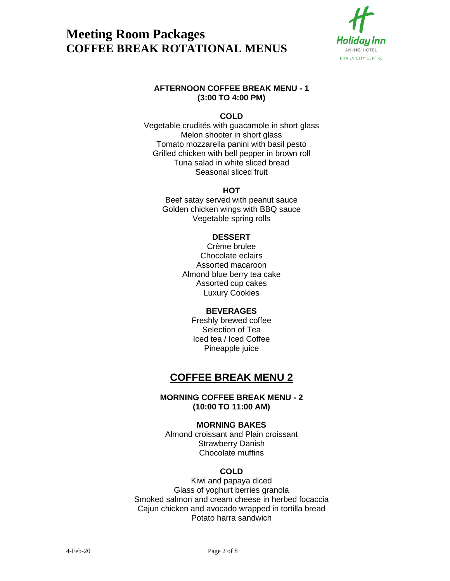

### **AFTERNOON COFFEE BREAK MENU - 1 (3:00 TO 4:00 PM)**

## **COLD**

Vegetable crudités with guacamole in short glass Melon shooter in short glass Tomato mozzarella panini with basil pesto Grilled chicken with bell pepper in brown roll Tuna salad in white sliced bread Seasonal sliced fruit

## **HOT**

Beef satay served with peanut sauce Golden chicken wings with BBQ sauce Vegetable spring rolls

## **DESSERT**

Crème brulee Chocolate eclairs Assorted macaroon Almond blue berry tea cake Assorted cup cakes Luxury Cookies

## **BEVERAGES**

Freshly brewed coffee Selection of Tea Iced tea / Iced Coffee Pineapple juice

## **COFFEE BREAK MENU 2**

## **MORNING COFFEE BREAK MENU - 2 (10:00 TO 11:00 AM)**

#### **MORNING BAKES**

Almond croissant and Plain croissant Strawberry Danish Chocolate muffins

## **COLD**

Kiwi and papaya diced Glass of yoghurt berries granola Smoked salmon and cream cheese in herbed focaccia Cajun chicken and avocado wrapped in tortilla bread Potato harra sandwich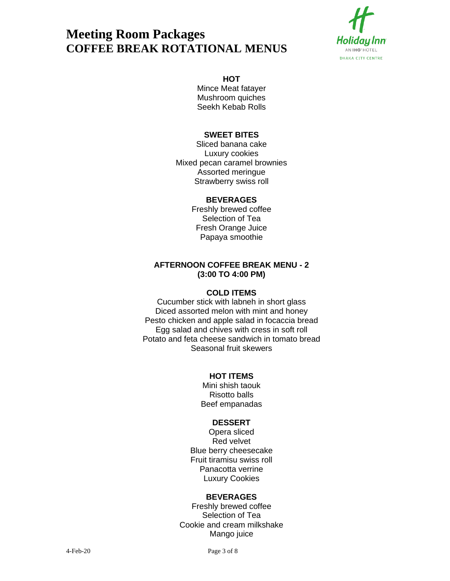

#### **HOT**

Mince Meat fatayer Mushroom quiches Seekh Kebab Rolls

## **SWEET BITES**

Sliced banana cake Luxury cookies Mixed pecan caramel brownies Assorted meringue Strawberry swiss roll

#### **BEVERAGES**

Freshly brewed coffee Selection of Tea Fresh Orange Juice Papaya smoothie

## **AFTERNOON COFFEE BREAK MENU - 2 (3:00 TO 4:00 PM)**

#### **COLD ITEMS**

Cucumber stick with labneh in short glass Diced assorted melon with mint and honey Pesto chicken and apple salad in focaccia bread Egg salad and chives with cress in soft roll Potato and feta cheese sandwich in tomato bread Seasonal fruit skewers

#### **HOT ITEMS**

Mini shish taouk Risotto balls Beef empanadas

#### **DESSERT**

Opera sliced Red velvet Blue berry cheesecake Fruit tiramisu swiss roll Panacotta verrine Luxury Cookies

#### **BEVERAGES**

Freshly brewed coffee Selection of Tea Cookie and cream milkshake Mango juice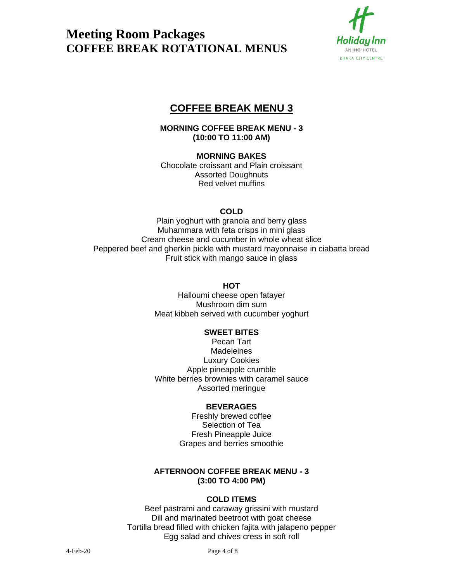

## **COFFEE BREAK MENU 3**

**MORNING COFFEE BREAK MENU - 3 (10:00 TO 11:00 AM)**

### **MORNING BAKES**

Chocolate croissant and Plain croissant Assorted Doughnuts Red velvet muffins

## **COLD**

Plain yoghurt with granola and berry glass Muhammara with feta crisps in mini glass Cream cheese and cucumber in whole wheat slice Peppered beef and gherkin pickle with mustard mayonnaise in ciabatta bread Fruit stick with mango sauce in glass

### **HOT**

Halloumi cheese open fatayer Mushroom dim sum Meat kibbeh served with cucumber yoghurt

## **SWEET BITES**

Pecan Tart **Madeleines** Luxury Cookies Apple pineapple crumble White berries brownies with caramel sauce Assorted meringue

## **BEVERAGES**

Freshly brewed coffee Selection of Tea Fresh Pineapple Juice Grapes and berries smoothie

## **AFTERNOON COFFEE BREAK MENU - 3 (3:00 TO 4:00 PM)**

#### **COLD ITEMS**

Beef pastrami and caraway grissini with mustard Dill and marinated beetroot with goat cheese Tortilla bread filled with chicken fajita with jalapeno pepper Egg salad and chives cress in soft roll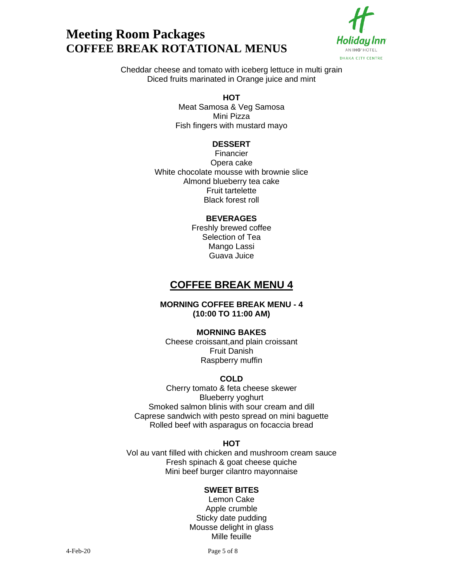



Cheddar cheese and tomato with iceberg lettuce in multi grain Diced fruits marinated in Orange juice and mint

### **HOT**

Meat Samosa & Veg Samosa Mini Pizza Fish fingers with mustard mayo

#### **DESSERT**

Financier Opera cake White chocolate mousse with brownie slice Almond blueberry tea cake Fruit tartelette Black forest roll

#### **BEVERAGES**

Freshly brewed coffee Selection of Tea Mango Lassi Guava Juice

## **COFFEE BREAK MENU 4**

### **MORNING COFFEE BREAK MENU - 4 (10:00 TO 11:00 AM)**

#### **MORNING BAKES**

Cheese croissant,and plain croissant Fruit Danish Raspberry muffin

## **COLD**

Cherry tomato & feta cheese skewer Blueberry yoghurt Smoked salmon blinis with sour cream and dill Caprese sandwich with pesto spread on mini baguette Rolled beef with asparagus on focaccia bread

#### **HOT**

Vol au vant filled with chicken and mushroom cream sauce Fresh spinach & goat cheese quiche Mini beef burger cilantro mayonnaise

#### **SWEET BITES**

Lemon Cake Apple crumble Sticky date pudding Mousse delight in glass Mille feuille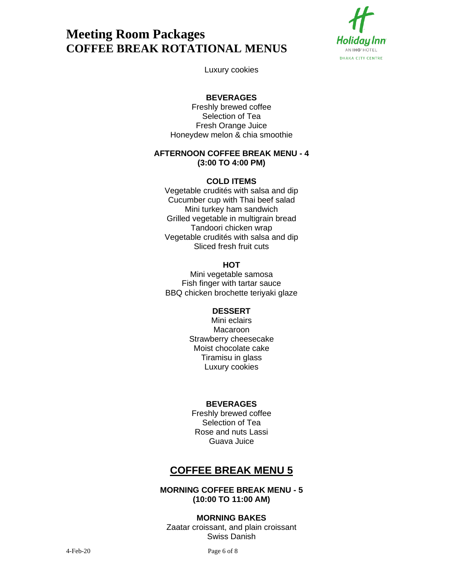

Luxury cookies

## **BEVERAGES**

Freshly brewed coffee Selection of Tea Fresh Orange Juice Honeydew melon & chia smoothie

### **AFTERNOON COFFEE BREAK MENU - 4 (3:00 TO 4:00 PM)**

### **COLD ITEMS**

Vegetable crudités with salsa and dip Cucumber cup with Thai beef salad Mini turkey ham sandwich Grilled vegetable in multigrain bread Tandoori chicken wrap Vegetable crudités with salsa and dip Sliced fresh fruit cuts

## **HOT**

Mini vegetable samosa Fish finger with tartar sauce BBQ chicken brochette teriyaki glaze

#### **DESSERT**

Mini eclairs Macaroon Strawberry cheesecake Moist chocolate cake Tiramisu in glass Luxury cookies

## **BEVERAGES**

Freshly brewed coffee Selection of Tea Rose and nuts Lassi Guava Juice

## **COFFEE BREAK MENU 5**

### **MORNING COFFEE BREAK MENU - 5 (10:00 TO 11:00 AM)**

#### **MORNING BAKES**

Zaatar croissant, and plain croissant Swiss Danish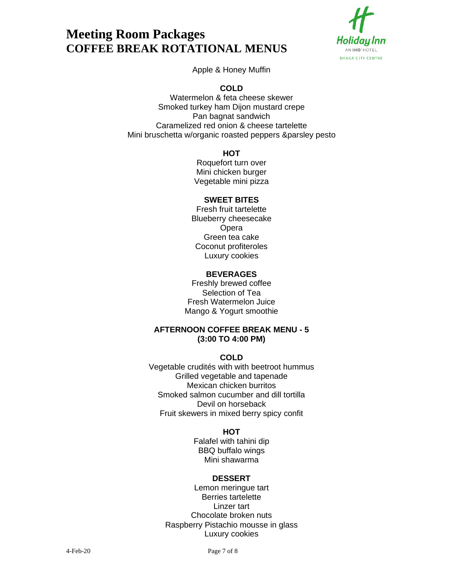

Apple & Honey Muffin

**COLD**

Watermelon & feta cheese skewer Smoked turkey ham Dijon mustard crepe Pan bagnat sandwich Caramelized red onion & cheese tartelette Mini bruschetta w/organic roasted peppers &parsley pesto

**HOT**

Roquefort turn over Mini chicken burger Vegetable mini pizza

## **SWEET BITES**

Fresh fruit tartelette Blueberry cheesecake Opera Green tea cake Coconut profiteroles Luxury cookies

## **BEVERAGES**

Freshly brewed coffee Selection of Tea Fresh Watermelon Juice Mango & Yogurt smoothie

## **AFTERNOON COFFEE BREAK MENU - 5 (3:00 TO 4:00 PM)**

## **COLD**

Vegetable crudités with with beetroot hummus Grilled vegetable and tapenade Mexican chicken burritos Smoked salmon cucumber and dill tortilla Devil on horseback Fruit skewers in mixed berry spicy confit

## **HOT**

Falafel with tahini dip BBQ buffalo wings Mini shawarma

## **DESSERT**

Lemon meringue tart Berries tartelette Linzer tart Chocolate broken nuts Raspberry Pistachio mousse in glass Luxury cookies